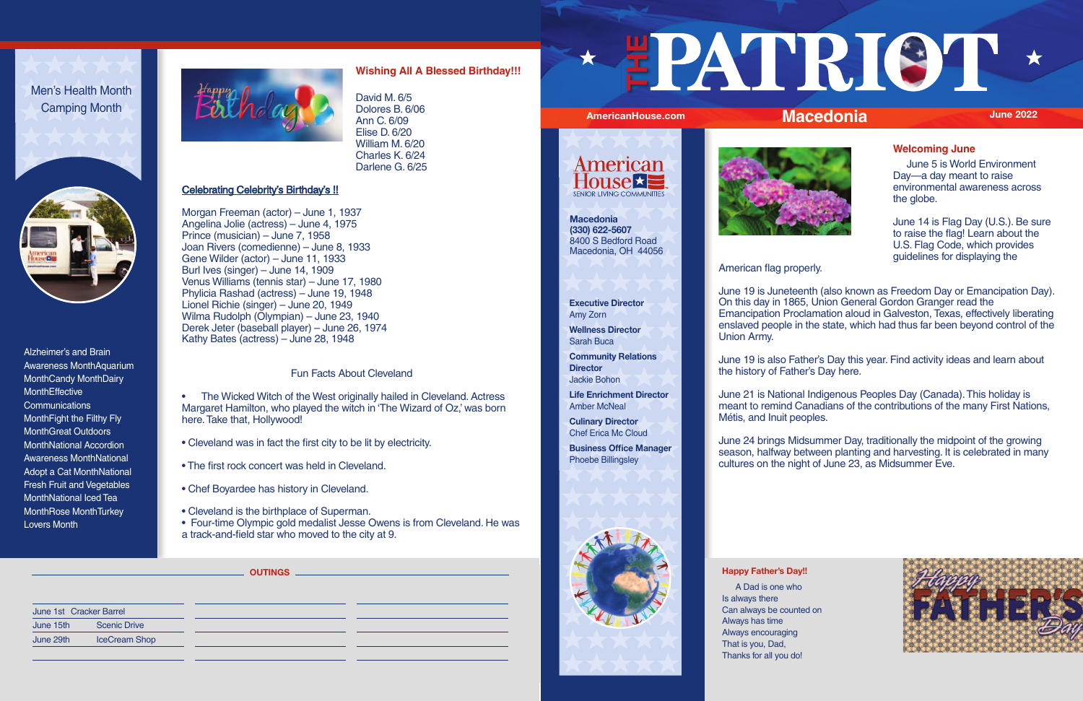Alzheimer's and Brain Awareness MonthAquarium MonthCandy MonthDairy **MonthEffective Communications** MonthFight the Filthy Fly MonthGreat Outdoors MonthNational Accordion Awareness MonthNational Adopt a Cat MonthNational Fresh Fruit and Vegetables MonthNational Iced Tea MonthRose MonthTurkey Lovers Month



Men's Health Month Camping Month



# **Wishing All A Blessed Birthday!!!**

David M. 6/5 Dolores B. 6/06 Ann C. 6/09 Elise D. 6/20 William M. 6/20 Charles K. 6/24 Darlene G. 6/25

# Celebrating Celebrity's Birthday's !!

• The Wicked Witch of the West originally hailed in Cleveland. Actress Margaret Hamilton, who played the witch in 'The Wizard of Oz,' was born here. Take that, Hollywood!

Morgan Freeman (actor) – June 1, 1937 Angelina Jolie (actress) – June 4, 1975 Prince (musician) – June 7, 1958 Joan Rivers (comedienne) – June 8, 1933 Gene Wilder (actor) – June 11, 1933 Burl Ives (singer) – June 14, 1909 Venus Williams (tennis star) – June 17, 1980 Phylicia Rashad (actress) – June 19, 1948 Lionel Richie (singer) – June 20, 1949 Wilma Rudolph (Olympian) – June 23, 1940 Derek Jeter (baseball player) – June 26, 1974 Kathy Bates (actress) – June 28, 1948

> **Culinary Director Chef Erica Mc Cloud**

### Fun Facts About Cleveland

- Cleveland was in fact the first city to be lit by electricity.
- The first rock concert was held in Cleveland.
- Chef Boyardee has history in Cleveland.
- Cleveland is the birthplace of Superman.
- Four-time Olympic gold medalist Jesse Owens is from Cleveland. He was a track-and-field star who moved to the city at 9.

### **Executive Director** Amy Zorn

**Wellness Director** Sarah Buca



**American House 2 SENIOR LIVING COMMUNITIES** 



**Community Relations Director**  Jackie Bohon

**Life Enrichment Director** Amber McNeal

**Business Office Manager**  Phoebe Billingsley



# **Welcoming June**

 June 5 is World Environment Day—a day meant to raise environmental awareness across the globe.

June 14 is Flag Day (U.S.). Be sure to raise the flag! Learn about the U.S. Flag Code, which provides guidelines for displaying the



## American flag properly.

June 19 is Juneteenth (also known as Freedom Day or Emancipation Day). On this day in 1865, Union General Gordon Granger read the Emancipation Proclamation aloud in Galveston, Texas, effectively liberating enslaved people in the state, which had thus far been beyond control of the Union Army.

June 19 is also Father's Day this year. Find activity ideas and learn about the history of Father's Day here.

June 21 is National Indigenous Peoples Day (Canada). This holiday is meant to remind Canadians of the contributions of the many First Nations, Métis, and Inuit peoples.

June 24 brings Midsummer Day, traditionally the midpoint of the growing season, halfway between planting and harvesting. It is celebrated in many cultures on the night of June 23, as Midsummer Eve.

### **Happy Father's Day!!**

 A Dad is one who Is always there Can always be counted on Always has time Always encouraging That is you, Dad, Thanks for all you do!

| June 1st Cracker Barrel |                      |
|-------------------------|----------------------|
| June 15th               | <b>Scenic Drive</b>  |
| June 29th               | <b>IceCream Shop</b> |
|                         |                      |

**OUTINGS**

**Macedonia (330) 622-5607** 8400 S Bedford Road Macedonia, OH 44056